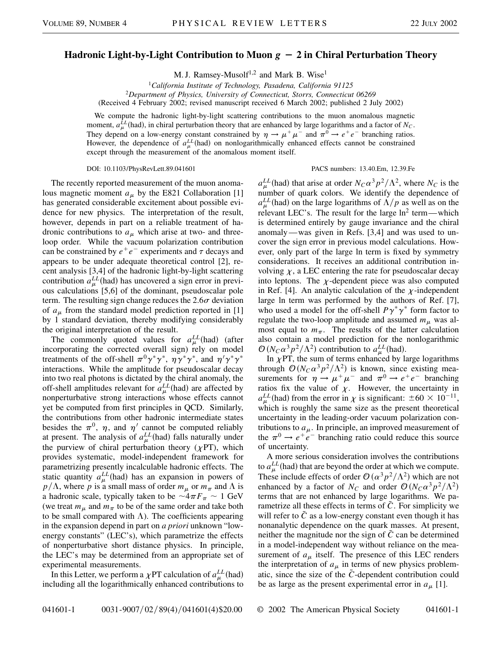## **Hadronic Light-by-Light Contribution to Muon**  $g - 2$  in Chiral Perturbation Theory

M. J. Ramsey-Musolf<sup>1,2</sup> and Mark B. Wise<sup>1</sup>

<sup>1</sup>*California Institute of Technology, Pasadena, California 91125* <sup>2</sup>*Department of Physics, University of Connecticut, Storrs, Connecticut 06269* (Received 4 February 2002; revised manuscript received 6 March 2002; published 2 July 2002)

We compute the hadronic light-by-light scattering contributions to the muon anomalous magnetic moment,  $a_{\mu}^{LL}$  (had), in chiral perturbation theory that are enhanced by large logarithms and a factor of  $N_C$ . They depend on a low-energy constant constrained by  $\eta \to \mu^+ \mu^-$  and  $\pi^0 \to e^+ e^-$  branching ratios. However, the dependence of  $a_{\mu}^{LL}$  (had) on nonlogarithmically enhanced effects cannot be constrained except through the measurement of the anomalous moment itself.

## DOI: 10.1103/PhysRevLett.89.041601 PACS numbers: 13.40.Em, 12.39.Fe

The recently reported measurement of the muon anomalous magnetic moment  $a_{\mu}$  by the E821 Collaboration [1] has generated considerable excitement about possible evidence for new physics. The interpretation of the result, however, depends in part on a reliable treatment of hadronic contributions to  $a<sub>\mu</sub>$  which arise at two- and threeloop order. While the vacuum polarization contribution can be constrained by  $e^+e^-$  experiments and  $\tau$  decays and appears to be under adequate theoretical control [2], recent analysis [3,4] of the hadronic light-by-light scattering contribution  $a_{\mu}^{LL}$  (had) has uncovered a sign error in previous calculations [5,6] of the dominant, pseudoscalar pole term. The resulting sign change reduces the  $2.6\sigma$  deviation of  $a_{\mu}$  from the standard model prediction reported in [1] by 1 standard deviation, thereby modifying considerably the original interpretation of the result.

The commonly quoted values for  $a_{\mu}^{LL}$  (had) (after incorporating the corrected overall sign) rely on model treatments of the off-shell  $\pi^0 \gamma^* \gamma^*$ ,  $\eta \gamma^* \gamma^*$ , and  $\eta' \gamma^* \gamma^*$ interactions. While the amplitude for pseudoscalar decay into two real photons is dictated by the chiral anomaly, the off-shell amplitudes relevant for  $a_{\mu}^{LL}$  (had) are affected by nonperturbative strong interactions whose effects cannot yet be computed from first principles in QCD. Similarly, the contributions from other hadronic intermediate states besides the  $\pi^0$ ,  $\eta$ , and  $\eta'$  cannot be computed reliably at present. The analysis of  $a_{\mu}^{LL}$  (had) falls naturally under the purview of chiral perturbation theory  $(\gamma PT)$ , which provides systematic, model-independent framework for parametrizing presently incalculable hadronic effects. The static quantity  $a_{\mu}^{LL}$  (had) has an expansion in powers of  $p/\Lambda$ , where *p* is a small mass of order  $m_\mu$  or  $m_\pi$  and  $\Lambda$  is a hadronic scale, typically taken to be  $\sim 4\pi F_\pi \sim 1$  GeV (we treat  $m_{\mu}$  and  $m_{\pi}$  to be of the same order and take both to be small compared with  $\Lambda$ ). The coefficients appearing in the expansion depend in part on *a priori* unknown "lowenergy constants" (LEC's), which parametrize the effects of nonperturbative short distance physics. In principle, the LEC's may be determined from an appropriate set of experimental measurements.

In this Letter, we perform a  $\chi$ PT calculation of  $a_{\mu}^{LL}$  (had) including all the logarithmically enhanced contributions to

 $a_{\mu}^{LL}$  (had) that arise at order  $N_C\alpha^3 p^2/\Lambda^2$ , where  $N_C$  is the number of quark colors. We identify the dependence of  $a_{\mu}^{LL}$  (had) on the large logarithms of  $\Lambda/p$  as well as on the relevant LEC's. The result for the large  $\ln^2$  term—which is determined entirely by gauge invariance and the chiral anomaly —was given in Refs. [3,4] and was used to uncover the sign error in previous model calculations. However, only part of the large ln term is fixed by symmetry considerations. It receives an additional contribution involving  $\chi$ , a LEC entering the rate for pseudoscalar decay into leptons. The  $\chi$ -dependent piece was also computed in Ref. [4]. An analytic calculation of the  $\chi$ -independent large ln term was performed by the authors of Ref. [7], who used a model for the off-shell  $P\gamma^* \gamma^*$  form factor to regulate the two-loop amplitude and assumed  $m<sub>\mu</sub>$  was almost equal to  $m_{\pi}$ . The results of the latter calculation also contain a model prediction for the nonlogarithmic  $\mathcal{O}(N_C \alpha^3 p^2/\Lambda^2)$  contribution to  $a_{\mu}^{LL}$  (had).

In  $\chi$ PT, the sum of terms enhanced by large logarithms through  $O(N_C \alpha^3 p^2/\Lambda^2)$  is known, since existing measurements for  $\eta \to \mu^+ \mu^-$  and  $\pi^0 \to e^+ e^-$  branching ratios fix the value of  $\chi$ . However, the uncertainty in  $a_{\mu}^{LL}$  (had) from the error in  $\chi$  is significant:  $\pm 60 \times 10^{-11}$ , which is roughly the same size as the present theoretical uncertainty in the leading-order vacuum polarization contributions to  $a_{\mu}$ . In principle, an improved measurement of the  $\pi^{0} \rightarrow e^{+}e^{-}$  branching ratio could reduce this source of uncertainty.

A more serious consideration involves the contributions to  $a_{\mu}^{LL}$  (had) that are beyond the order at which we compute. These include effects of order  $\mathcal{O}(\alpha^3 p^2/\Lambda^2)$  which are not enhanced by a factor of  $N_C$  and order  $\mathcal{O}(N_C\alpha^3p^2/\Lambda^2)$ terms that are not enhanced by large logarithms. We parametrize all these effects in terms of  $\tilde{C}$ . For simplicity we will refer to  $\overline{C}$  as a low-energy constant even though it has nonanalytic dependence on the quark masses. At present, neither the magnitude nor the sign of  $\tilde{C}$  can be determined in a model-independent way without reliance on the measurement of  $a<sub>\mu</sub>$  itself. The presence of this LEC renders the interpretation of  $a_{\mu}$  in terms of new physics problematic, since the size of the  $\tilde{C}$ -dependent contribution could be as large as the present experimental error in  $a_{\mu}$  [1].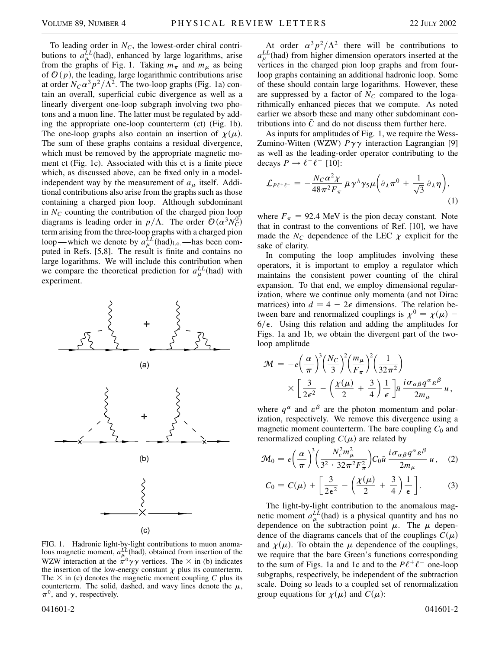To leading order in  $N_c$ , the lowest-order chiral contributions to  $a_{\mu}^{LL}$  (had), enhanced by large logarithms, arise from the graphs of Fig. 1. Taking  $m_\pi$  and  $m_\mu$  as being of  $\mathcal{O}(p)$ , the leading, large logarithmic contributions arise at order  $N_C\alpha^3p^2/\Lambda^2$ . The two-loop graphs (Fig. 1a) contain an overall, superficial cubic divergence as well as a linearly divergent one-loop subgraph involving two photons and a muon line. The latter must be regulated by adding the appropriate one-loop counterterm (ct) (Fig. 1b). The one-loop graphs also contain an insertion of  $\chi(\mu)$ . The sum of these graphs contains a residual divergence, which must be removed by the appropriate magnetic moment ct (Fig. 1c). Associated with this ct is a finite piece which, as discussed above, can be fixed only in a modelindependent way by the measurement of  $a<sub>\mu</sub>$  itself. Additional contributions also arise from the graphs such as those containing a charged pion loop. Although subdominant in  $N_c$  counting the contribution of the charged pion loop diagrams is leading order in  $p/\Lambda$ . The order  $\mathcal{O}(\alpha^3 N_C^0)$ term arising from the three-loop graphs with a charged pion loop—which we denote by  $a_{\mu}^{LL}$  (had)<sub>1.0</sub>.—has been computed in Refs. [5,8]. The result is finite and contains no large logarithms. We will include this contribution when we compare the theoretical prediction for  $a_{\mu}^{LL}$  (had) with experiment.



FIG. 1. Hadronic light-by-light contributions to muon anomalous magnetic moment,  $a_{\mu}^{LL}$  (had), obtained from insertion of the WZW interaction at the  $\pi^0 \gamma \gamma$  vertices. The  $\times$  in (b) indicates the insertion of the low-energy constant  $\chi$  plus its counterterm. The  $\times$  in (c) denotes the magnetic moment coupling *C* plus its counterterm. The solid, dashed, and wavy lines denote the  $\mu$ ,  $\pi^0$ , and  $\gamma$ , respectively.

At order  $\alpha^3 p^2/\Lambda^2$  there will be contributions to  $a_{\mu}^{LL}$ (had) from higher dimension operators inserted at the vertices in the charged pion loop graphs and from fourloop graphs containing an additional hadronic loop. Some of these should contain large logarithms. However, these are suppressed by a factor of  $N_C$  compared to the logarithmically enhanced pieces that we compute. As noted earlier we absorb these and many other subdominant contributions into  $\tilde{C}$  and do not discuss them further here.

As inputs for amplitudes of Fig. 1, we require the Wess-Zumino-Witten (WZW)  $P\gamma\gamma$  interaction Lagrangian [9] as well as the leading-order operator contributing to the decays  $P \rightarrow \ell^+ \ell^-$  [10]:

$$
\mathcal{L}_{P\ell^+\ell^-} = -\frac{N_C \alpha^2 \chi}{48\pi^2 F_\pi} \bar{\mu} \gamma^\lambda \gamma_5 \mu \bigg( \partial_\lambda \pi^0 + \frac{1}{\sqrt{3}} \partial_\lambda \eta \bigg),\tag{1}
$$

where  $F_{\pi}$  = 92.4 MeV is the pion decay constant. Note that in contrast to the conventions of Ref. [10], we have made the  $N_c$  dependence of the LEC  $\chi$  explicit for the sake of clarity.

In computing the loop amplitudes involving these operators, it is important to employ a regulator which maintains the consistent power counting of the chiral expansion. To that end, we employ dimensional regularization, where we continue only momenta (and not Dirac matrices) into  $d = 4 - 2\epsilon$  dimensions. The relation between bare and renormalized couplings is  $\chi^0 = \chi(\mu)$  –  $6/\epsilon$ . Using this relation and adding the amplitudes for Figs. 1a and 1b, we obtain the divergent part of the twoloop amplitude

$$
\mathcal{M} = -e\left(\frac{\alpha}{\pi}\right)^3 \left(\frac{N_C}{3}\right)^2 \left(\frac{m_\mu}{F_\pi}\right)^2 \left(\frac{1}{32\pi^2}\right) \times \left[\frac{3}{2\epsilon^2} - \left(\frac{\chi(\mu)}{2} + \frac{3}{4}\right) \frac{1}{\epsilon}\right] \bar{u} \frac{i\sigma_{\alpha\beta}q^{\alpha}\epsilon^{\beta}}{2m_\mu} u,
$$

where  $q^{\alpha}$  and  $\varepsilon^{\beta}$  are the photon momentum and polarization, respectively. We remove this divergence using a magnetic moment counterterm. The bare coupling  $C_0$  and renormalized coupling  $C(\mu)$  are related by

$$
\mathcal{M}_0 = e \left(\frac{\alpha}{\pi}\right)^3 \left(\frac{N_c^2 m_\mu^2}{3^2 \cdot 32 \pi^2 F_\pi^2}\right) C_0 \bar{u} \frac{i \sigma_{\alpha \beta} q^{\alpha} \epsilon^{\beta}}{2 m_\mu} u, \quad (2)
$$

$$
C_0 = C(\mu) + \left[\frac{3}{2\epsilon^2} - \left(\frac{\chi(\mu)}{2} + \frac{3}{4}\right)\frac{1}{\epsilon}\right].
$$
 (3)

The light-by-light contribution to the anomalous magnetic moment  $a_{\mu}^{LL}$  (had) is a physical quantity and has no dependence on the subtraction point  $\mu$ . The  $\mu$  dependence of the diagrams cancels that of the couplings  $C(\mu)$ and  $\chi(\mu)$ . To obtain the  $\mu$  dependence of the couplings, we require that the bare Green's functions corresponding to the sum of Figs. 1a and 1c and to the  $P\ell^+\ell^-$  one-loop subgraphs, respectively, be independent of the subtraction scale. Doing so leads to a coupled set of renormalization group equations for  $\chi(\mu)$  and  $C(\mu)$ :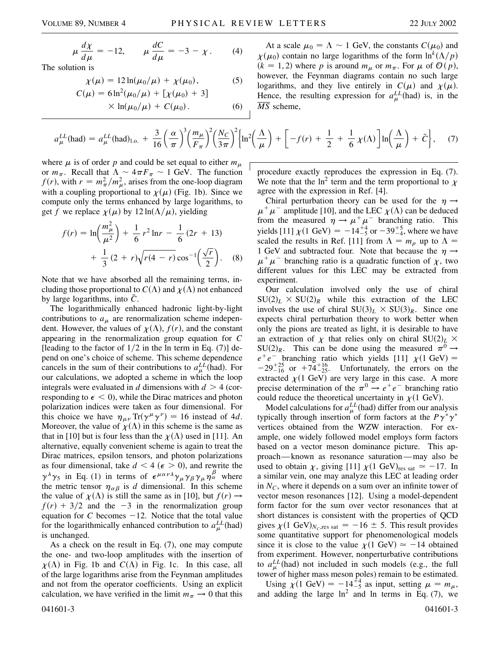$(5)$ 

$$
\mu \frac{d\chi}{d\mu} = -12, \qquad \mu \frac{dC}{d\mu} = -3 - \chi. \tag{4}
$$
  
The solution is

$$
\chi(\mu) = 12 \ln(\mu_0/\mu) +
$$

$$
\chi(\mu) = 12 \ln(\mu_0/\mu) + \chi(\mu_0),
$$
\n(5)  
\n
$$
C(\mu) = 6 \ln^2(\mu_0/\mu) + [\chi(\mu_0) + 3]
$$

$$
\times \ln(\mu_0/\mu) + C(\mu_0). \tag{6}
$$

 $\mathcal{A}$   $\mathcal{A}$ 

At a scale  $\mu_0 = \Lambda \sim 1$  GeV, the constants  $C(\mu_0)$  and  $\chi(\mu_0)$  contain no large logarithms of the form  $\ln^k(\Lambda/p)$  $(k = 1, 2)$  where *p* is around  $m_{\mu}$  or  $m_{\pi}$ . For  $\mu$  of  $\mathcal{O}(p)$ , however, the Feynman diagrams contain no such large logarithms, and they live entirely in  $C(\mu)$  and  $\chi(\mu)$ . Hence, the resulting expression for  $a_{\mu}^{LL}$  (had) is, in the *MS* scheme,

$$
a_{\mu}^{LL}(\text{had}) = a_{\mu}^{LL}(\text{had})_{1.0.} + \frac{3}{16} \left(\frac{\alpha}{\pi}\right)^3 \left(\frac{m_{\mu}}{F_{\pi}}\right)^2 \left(\frac{N_C}{3\pi}\right)^2 \left\{\ln^2\left(\frac{\Lambda}{\mu}\right) + \left[-f(r) + \frac{1}{2} + \frac{1}{6}\chi(\Lambda)\right]\ln\left(\frac{\Lambda}{\mu}\right) + \tilde{C}\right\},\tag{7}
$$

where  $\mu$  is of order p and could be set equal to either  $m_{\mu}$ or  $m_{\pi}$ . Recall that  $\Lambda \sim 4\pi F_{\pi} \sim 1$  GeV. The function  $f(r)$ , with  $r = m_{\pi}^2/m_{\mu}^2$ , arises from the one-loop diagram with a coupling proportional to  $\chi(\mu)$  (Fig. 1b). Since we compute only the terms enhanced by large logarithms, to get f we replace  $\chi(\mu)$  by  $12 \ln(\Lambda/\mu)$ , yielding

$$
f(r) = \ln\left(\frac{m_{\mu}^{2}}{\mu^{2}}\right) + \frac{1}{6}r^{2}\ln r - \frac{1}{6}(2r + 13)
$$

$$
+ \frac{1}{3}(2 + r)\sqrt{r(4 - r)}\cos^{-1}\left(\frac{\sqrt{r}}{2}\right).
$$
 (8)

Note that we have absorbed all the remaining terms, including those proportional to  $C(\Lambda)$  and  $\chi(\Lambda)$  not enhanced by large logarithms, into  $\tilde{C}$ .

The logarithmically enhanced hadronic light-by-light contributions to  $a_{\mu}$  are renormalization scheme independent. However, the values of  $\chi(\Lambda)$ ,  $f(r)$ , and the constant appearing in the renormalization group equation for *C* [leading to the factor of  $1/2$  in the ln term in Eq. (7)] depend on one's choice of scheme. This scheme dependence cancels in the sum of their contributions to  $a_{\mu}^{LL}$  (had). For our calculations, we adopted a scheme in which the loop integrals were evaluated in *d* dimensions with  $d > 4$  (corresponding to  $\epsilon$  < 0), while the Dirac matrices and photon polarization indices were taken as four dimensional. For this choice we have  $\eta_{\mu\nu}$  Tr( $\gamma^{\mu}\gamma^{\nu}$ ) = 16 instead of 4*d*. Moreover, the value of  $\chi(\Lambda)$  in this scheme is the same as that in [10] but is four less than the  $\chi(\Lambda)$  used in [11]. An alternative, equally convenient scheme is again to treat the Dirac matrices, epsilon tensors, and photon polarizations as four dimensional, take  $d < 4$  ( $\epsilon > 0$ ), and rewrite the  $\gamma^{\lambda}\gamma_5$  in Eq. (1) in terms of  $\epsilon^{\mu\alpha\nu\lambda}\gamma_{\mu}\gamma_{\beta}\gamma_{\mu}\eta_{\alpha}^{\beta}$  where the metric tensor  $\eta_{\alpha\beta}$  is *d* dimensional. In this scheme the value of  $\chi(\Lambda)$  is still the same as in [10], but  $f(r) \rightarrow$  $f(r) + 3/2$  and the  $-3$  in the renormalization group equation for *C* becomes  $-12$ . Notice that the total value for the logarithmically enhanced contribution to  $a_{\mu}^{LL}$  (had) is unchanged.

As a check on the result in Eq. (7), one may compute the one- and two-loop amplitudes with the insertion of  $\chi(\Lambda)$  in Fig. 1b and  $C(\Lambda)$  in Fig. 1c. In this case, all of the large logarithms arise from the Feynman amplitudes and not from the operator coefficients. Using an explicit calculation, we have verified in the limit  $m_{\pi} \rightarrow 0$  that this procedure exactly reproduces the expression in Eq. (7). We note that the  $\ln^2$  term and the term proportional to  $\chi$ agree with the expression in Ref. [4].

Chiral perturbation theory can be used for the  $\eta \rightarrow$  $\mu^+ \mu^-$  amplitude [10], and the LEC  $\chi(\Lambda)$  can be deduced from the measured  $\eta \to \mu^+ \mu^-$  branching ratio. This yields [11]  $\chi$ (1 GeV) = -14<sup>+4</sup> or -39<sup>+5</sup><sub>-4</sub>, where we have scaled the results in Ref. [11] from  $\Lambda = m_{\rho}$  up to  $\Lambda =$ 1 GeV and subtracted four. Note that because the  $\eta \rightarrow$  $\mu^+\mu^-$  branching ratio is a quadratic function of  $\chi$ , two different values for this LEC may be extracted from experiment.

Our calculation involved only the use of chiral  $SU(2)_L \times SU(2)_R$  while this extraction of the LEC involves the use of chiral  $SU(3)_L \times SU(3)_R$ . Since one expects chiral perturbation theory to work better when only the pions are treated as light, it is desirable to have an extraction of  $\chi$  that relies only on chiral SU(2)<sub>L</sub>  $\times$  $SU(2)_R$ . This can be done using the measured  $\pi^0 \rightarrow$  $e^+e^-$  branching ratio which yields [11]  $\chi$ (1 GeV) =  $-29^{+25}_{-16}$  or  $+74^{+16}_{-25}$ . Unfortunately, the errors on the extracted  $\chi$ (1 GeV) are very large in this case. A more precise determination of the  $\pi^{0} \rightarrow e^{+}e^{-}$  branching ratio could reduce the theoretical uncertainty in  $\chi$ <sup>(1 GeV)</sup>.

Model calculations for  $a_{\mu}^{LL}$  (had) differ from our analysis typically through insertion of form factors at the  $P\gamma^*\gamma^*$ vertices obtained from the WZW interaction. For example, one widely followed model employs form factors based on a vector meson dominance picture. This approach—known as resonance saturation—may also be used to obtain  $\chi$ , giving [11]  $\chi$ (1 GeV)<sub>res sat</sub>  $\simeq -17$ . In a similar vein, one may analyze this LEC at leading order in  $N_c$ , where it depends on a sum over an infinite tower of vector meson resonances [12]. Using a model-dependent form factor for the sum over vector resonances that at short distances is consistent with the properties of QCD gives  $\chi$ (1 GeV)<sub>Nc</sub>,res sat = -16  $\pm$  5. This result provides some quantitative support for phenomenological models since it is close to the value  $\chi(1 \text{ GeV}) \simeq -14$  obtained from experiment. However, nonperturbative contributions to  $a_{\mu}^{LL}$ (had) not included in such models (e.g., the full tower of higher mass meson poles) remain to be estimated.

Using  $\chi(1 \text{ GeV}) = -14\frac{14}{5}$  as input, setting  $\mu = m_{\mu}$ , and adding the large  $\ln^2$  and ln terms in Eq. (7), we